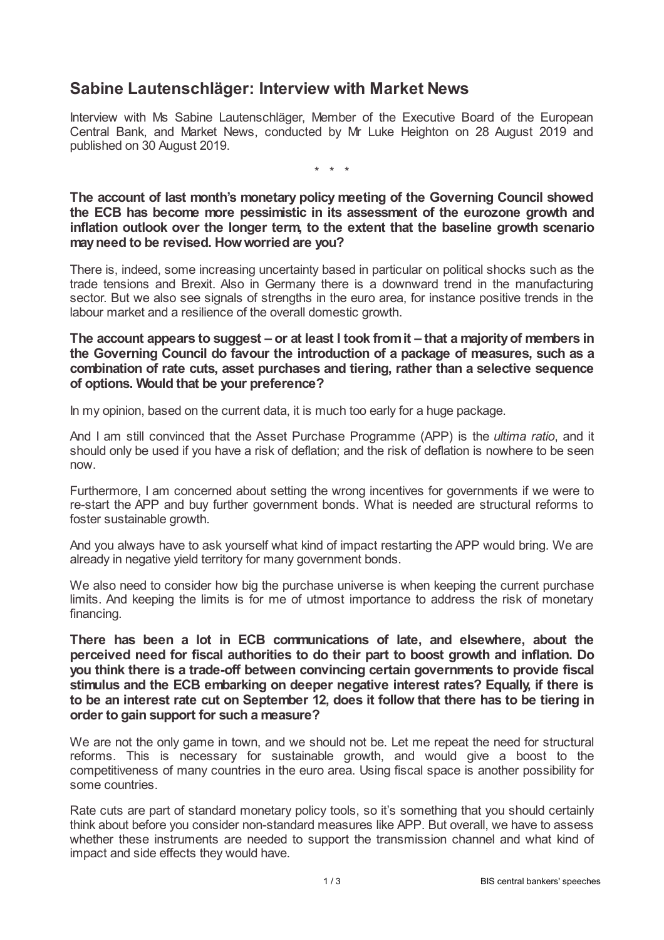## **Sabine Lautenschläger: Interview with Market News**

Interview with Ms Sabine Lautenschläger, Member of the Executive Board of the European Central Bank, and Market News, conducted by Mr Luke Heighton on 28 August 2019 and published on 30 August 2019.

\* \* \*

**The account of last month's monetary policy meeting of the Governing Council showed the ECB has become more pessimistic in its assessment of the eurozone growth and inflation outlook over the longer term, to the extent that the baseline growth scenario mayneed to be revised. Howworried are you?**

There is, indeed, some increasing uncertainty based in particular on political shocks such as the trade tensions and Brexit. Also in Germany there is a downward trend in the manufacturing sector. But we also see signals of strengths in the euro area, for instance positive trends in the labour market and a resilience of the overall domestic growth.

**The account appears to suggest – or at least I took fromit – that a majorityof members in the Governing Council do favour the introduction of a package of measures, such as a combination of rate cuts, asset purchases and tiering, rather than a selective sequence of options. Would that be your preference?**

In my opinion, based on the current data, it is much too early for a huge package.

And I am still convinced that the Asset Purchase Programme (APP) is the *ultima ratio*, and it should only be used if you have a risk of deflation; and the risk of deflation is nowhere to be seen now.

Furthermore, I am concerned about setting the wrong incentives for governments if we were to re-start the APP and buy further government bonds. What is needed are structural reforms to foster sustainable growth.

And you always have to ask yourself what kind of impact restarting the APP would bring. We are already in negative yield territory for many government bonds.

We also need to consider how big the purchase universe is when keeping the current purchase limits. And keeping the limits is for me of utmost importance to address the risk of monetary financing.

**There has been a lot in ECB communications of late, and elsewhere, about the perceived need for fiscal authorities to do their part to boost growth and inflation. Do you think there is a trade-off between convincing certain governments to provide fiscal stimulus and the ECB embarking on deeper negative interest rates? Equally, if there is to be an interest rate cut on September 12, does it follow that there has to be tiering in order to gain support for such a measure?**

We are not the only game in town, and we should not be. Let me repeat the need for structural reforms. This is necessary for sustainable growth, and would give a boost to the competitiveness of many countries in the euro area. Using fiscal space is another possibility for some countries.

Rate cuts are part of standard monetary policy tools, so it's something that you should certainly think about before you consider non-standard measures like APP. But overall, we have to assess whether these instruments are needed to support the transmission channel and what kind of impact and side effects they would have.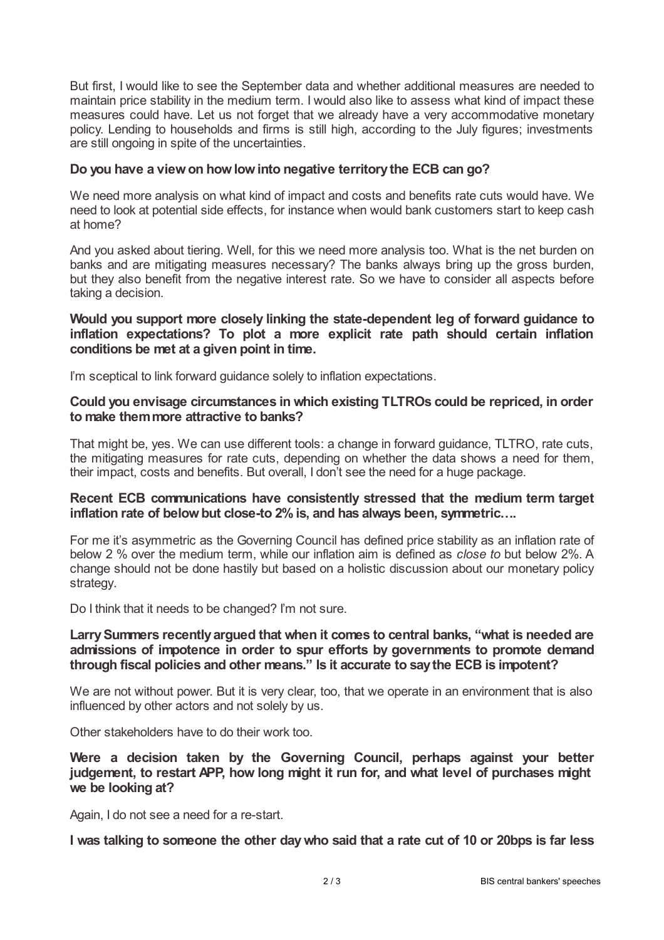But first, I would like to see the September data and whether additional measures are needed to maintain price stability in the medium term. I would also like to assess what kind of impact these measures could have. Let us not forget that we already have a very accommodative monetary policy. Lending to households and firms is still high, according to the July figures; investments are still ongoing in spite of the uncertainties.

### **Do you have a viewon howlowinto negative territorythe ECB can go?**

We need more analysis on what kind of impact and costs and benefits rate cuts would have. We need to look at potential side effects, for instance when would bank customers start to keep cash at home?

And you asked about tiering. Well, for this we need more analysis too. What is the net burden on banks and are mitigating measures necessary? The banks always bring up the gross burden, but they also benefit from the negative interest rate. So we have to consider all aspects before taking a decision.

#### **Would you support more closely linking the state-dependent leg of forward guidance to inflation expectations? To plot a more explicit rate path should certain inflation conditions be met at a given point in time.**

I'm sceptical to link forward guidance solely to inflation expectations.

### **Could you envisage circumstances in which existing TLTROs could be repriced, in order to make themmore attractive to banks?**

That might be, yes. We can use different tools: a change in forward guidance, TLTRO, rate cuts, the mitigating measures for rate cuts, depending on whether the data shows a need for them, their impact, costs and benefits. But overall, I don't see the need for a huge package.

#### **Recent ECB communications have consistently stressed that the medium term target inflation rate of belowbut close-to 2%is, and has always been, symmetric….**

For me it's asymmetric as the Governing Council has defined price stability as an inflation rate of below 2 % over the medium term, while our inflation aim is defined as *close to* but below 2%. A change should not be done hastily but based on a holistic discussion about our monetary policy strategy.

Do I think that it needs to be changed? I'm not sure.

### **LarrySummers recently argued that when it comes to central banks, "what is needed are admissions of impotence in order to spur efforts by governments to promote demand through fiscal policies and other means." Is it accurate to saythe ECB is impotent?**

We are not without power. But it is very clear, too, that we operate in an environment that is also influenced by other actors and not solely by us.

Other stakeholders have to do their work too.

**Were a decision taken by the Governing Council, perhaps against your better judgement, to restart APP, how long might it run for, and what level of purchases might we be looking at?**

Again, I do not see a need for a re-start.

I was talking to someone the other day who said that a rate cut of 10 or 20bps is far less